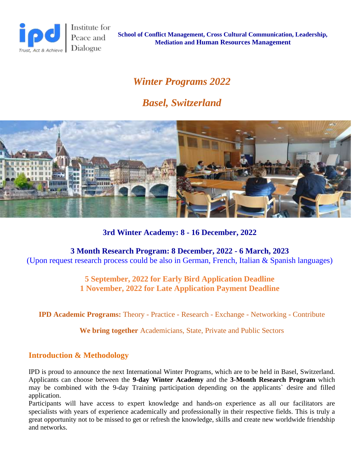

Institute for Peace and

**School of Conflict Management, Cross Cultural Communication, Leadership, Mediation and Human Resources Management**

# *Winter Programs 2022*

# *Basel, Switzerland*



**3rd Winter Academy: 8 - 16 December, 2022**

**3 Month Research Program: 8 December, 2022 - 6 March, 2023** (Upon request research process could be also in German, French, Italian & Spanish languages)

> **5 September, 2022 for Early Bird Application Deadline 1 November, 2022 for Late Application Payment Deadline**

**IPD Academic Programs:** Theory - Practice - Research - Exchange - Networking - Contribute

**We bring together** Academicians, State, Private and Public Sectors

# **Introduction & Methodology**

IPD is proud to announce the next International Winter Programs, which are to be held in Basel, Switzerland. Applicants can choose between the **9-day Winter Academy** and the **3-Month Research Program** which may be combined with the 9-day Training participation depending on the applicants` desire and filled application.

Participants will have access to expert knowledge and hands-on experience as all our facilitators are specialists with years of experience academically and professionally in their respective fields. This is truly a great opportunity not to be missed to get or refresh the knowledge, skills and create new worldwide friendship and networks.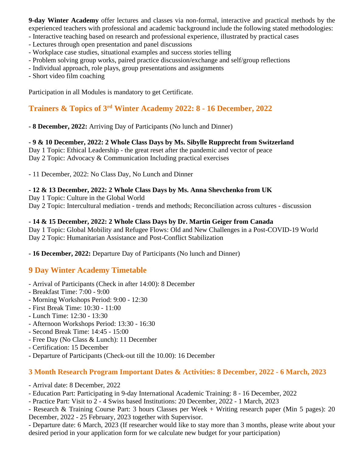**9-day Winter Academy** offer lectures and classes via non-formal, interactive and practical methods by the experienced teachers with professional and academic background include the following stated methodologies:

- Interactive teaching based on research and professional experience, illustrated by practical cases
- Lectures through open presentation and panel discussions
- Workplace case studies, situational examples and success stories telling
- Problem solving group works, paired practice discussion/exchange and self/group reflections
- Individual approach, role plays, group presentations and assignments
- Short video film coaching

Participation in all Modules is mandatory to get Certificate.

## **Trainers & Topics of 3 rd Winter Academy 2022: 8 - 16 December, 2022**

**- 8 December, 2022:** Arriving Day of Participants (No lunch and Dinner)

**- 9 & 10 December, 2022: 2 Whole Class Days by Ms. Sibylle Rupprecht from Switzerland** Day 1 Topic: Ethical Leadership - the great reset after the pandemic and vector of peace Day 2 Topic: Advocacy & Communication Including practical exercises

- 11 December, 2022: No Class Day, No Lunch and Dinner

#### **- 12 & 13 December, 2022: 2 Whole Class Days by Ms. Anna Shevchenko from UK**

Day 1 Topic: Culture in the Global World

Day 2 Topic: Intercultural mediation - trends and methods; Reconciliation across cultures - discussion

#### **- 14 & 15 December, 2022: 2 Whole Class Days by Dr. Martin Geiger from Canada**

Day 1 Topic: Global Mobility and Refugee Flows: Old and New Challenges in a Post-COVID-19 World Day 2 Topic: Humanitarian Assistance and Post-Conflict Stabilization

**- 16 December, 2022:** Departure Day of Participants (No lunch and Dinner)

### **9 Day Winter Academy Timetable**

- Arrival of Participants (Check in after 14:00): 8 December
- Breakfast Time: 7:00 9:00
- Morning Workshops Period: 9:00 12:30
- First Break Time: 10:30 11:00
- Lunch Time: 12:30 13:30
- Afternoon Workshops Period: 13:30 16:30
- Second Break Time: 14:45 15:00
- Free Day (No Class & Lunch): 11 December
- Certification: 15 December
- Departure of Participants (Check-out till the 10.00): 16 December

### **3 Month Research Program Important Dates & Activities: 8 December, 2022 - 6 March, 2023**

- Arrival date: 8 December, 2022
- Education Part: Participating in 9-day International Academic Training: 8 16 December, 2022
- Practice Part: Visit to 2 4 Swiss based Institutions: 20 December, 2022 1 March, 2023

- Research & Training Course Part: 3 hours Classes per Week + Writing research paper (Min 5 pages): 20 December, 2022 - 25 February, 2023 together with Supervisor.

- Departure date: 6 March, 2023 (If researcher would like to stay more than 3 months, please write about your desired period in your application form for we calculate new budget for your participation)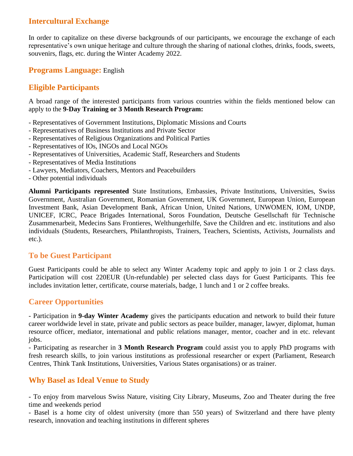### **Intercultural Exchange**

In order to capitalize on these diverse backgrounds of our participants, we encourage the exchange of each representative's own unique heritage and culture through the sharing of national clothes, drinks, foods, sweets, souvenirs, flags, etc. during the Winter Academy 2022.

### **Programs Language:** English

### **Eligible Participants**

A broad range of the interested participants from various countries within the fields mentioned below can apply to the **9-Day Training or 3 Month Research Program:**

- Representatives of Government Institutions, Diplomatic Missions and Courts
- Representatives of Business Institutions and Private Sector
- Representatives of Religious Organizations and Political Parties
- Representatives of IOs, INGOs and Local NGOs
- Representatives of Universities, Academic Staff, Researchers and Students
- Representatives of Media Institutions
- Lawyers, Mediators, Coachers, Mentors and Peacebuilders
- Other potential individuals

**Alumni Participants represented** State Institutions, Embassies, Private Institutions, Universities, Swiss Government, Australian Government, Romanian Government, UK Government, European Union, European Investment Bank, Asian Development Bank, African Union, United Nations, UNWOMEN, IOM, UNDP, UNICEF, ICRC, Peace Brigades International, Soros Foundation, Deutsche Gesellschaft für Technische Zusammenarbeit, Medecins Sans Frontieres, Welthungerhilfe, Save the Children and etc. institutions and also individuals (Students, Researchers, Philanthropists, Trainers, Teachers, Scientists, Activists, Journalists and etc.).

### **To be Guest Participant**

Guest Participants could be able to select any Winter Academy topic and apply to join 1 or 2 class days. Participation will cost 220EUR (Un-refundable) per selected class days for Guest Participants. This fee includes invitation letter, certificate, course materials, badge, 1 lunch and 1 or 2 coffee breaks.

### **Career Opportunities**

- Participation in **9-day Winter Academy** gives the participants education and network to build their future career worldwide level in state, private and public sectors as peace builder, manager, lawyer, diplomat, human resource officer, mediator, international and public relations manager, mentor, coacher and in etc. relevant jobs.

- Participating as researcher in **3 Month Research Program** could assist you to apply PhD programs with fresh research skills, to join various institutions as professional researcher or expert (Parliament, Research Centres, Think Tank Institutions, Universities, Various States organisations) or as trainer.

### **Why Basel as Ideal Venue to Study**

- To enjoy from marvelous Swiss Nature, visiting City Library, Museums, Zoo and Theater during the free time and weekends period

- Basel is a home city of oldest university (more than 550 years) of Switzerland and there have plenty research, innovation and teaching institutions in different spheres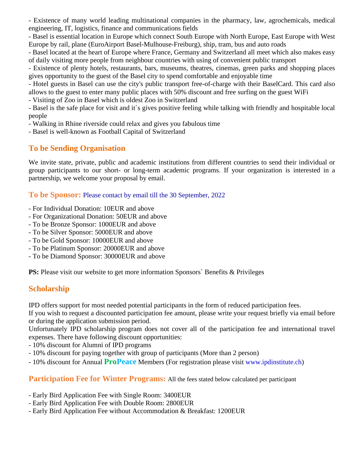- Existence of many world leading multinational companies in the pharmacy, law, agrochemicals, medical engineering, IT, logistics, finance and communications fields

- Basel is essential location in Europe which connect South Europe with North Europe, East Europe with West Europe by rail, plane (EuroAirport Basel-Mulhouse-Freiburg), ship, tram, bus and auto roads

- Basel located at the heart of Europe where France, Germany and Switzerland all meet which also makes easy of daily visiting more people from neighbour countries with using of convenient public transport

- Existence of plenty hotels, restaurants, bars, museums, theatres, cinemas, green parks and shopping places gives opportunity to the guest of the Basel city to spend comfortable and enjoyable time

- Hotel guests in Basel can use the city's public transport free-of-charge with their BaselCard. This card also allows to the guest to enter many public places with 50% discount and free surfing on the guest WiFi

- Visiting of Zoo in Basel which is oldest Zoo in Switzerland

- Basel is the safe place for visit and it`s gives positive feeling while talking with friendly and hospitable local people

- Walking in Rhine riverside could relax and gives you fabulous time

- Basel is well-known as Football Capital of Switzerland

### **To be Sending Organisation**

We invite state, private, public and academic institutions from different countries to send their individual or group participants to our short- or long-term academic programs. If your organization is interested in a partnership, we welcome your proposal by email.

**To be Sponsor:** Please contact by email till the 30 September, 2022

- For Individual Donation: 10EUR and above
- For Organizational Donation: 50EUR and above
- To be Bronze Sponsor: 1000EUR and above
- To be Silver Sponsor: 5000EUR and above
- To be Gold Sponsor: 10000EUR and above
- To be Platinum Sponsor: 20000EUR and above
- To be Diamond Sponsor: 30000EUR and above

**PS:** Please visit our website to get more information Sponsors' Benefits & Privileges

# **Scholarship**

IPD offers support for most needed potential participants in the form of reduced participation fees.

If you wish to request a discounted participation fee amount, please write your request briefly via email before or during the application submission period.

Unfortunately IPD scholarship program does not cover all of the participation fee and international travel expenses. There have following discount opportunities:

- 10% discount for Alumni of IPD programs

- 10% discount for paying together with group of participants (More than 2 person)
- 10% discount for Annual **ProPeace** Members (For registration please visit www.ipdinstitute.ch)

**Participation Fee for Winter Programs:** All the fees stated below calculated per participant

- Early Bird Application Fee with Single Room: 3400EUR
- Early Bird Application Fee with Double Room: 2800EUR
- Early Bird Application Fee without Accommodation & Breakfast: 1200EUR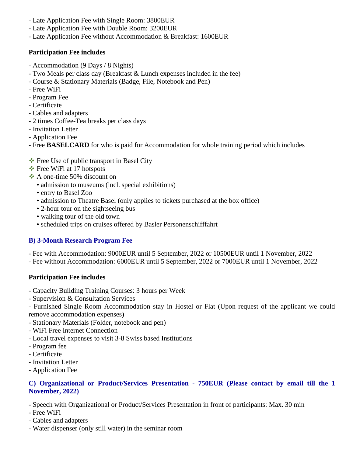- Late Application Fee with Single Room: 3800EUR
- Late Application Fee with Double Room: 3200EUR
- Late Application Fee without Accommodation & Breakfast: 1600EUR

#### **Participation Fee includes**

- Accommodation (9 Days / 8 Nights)
- Two Meals per class day (Breakfast & Lunch expenses included in the fee)
- Course & Stationary Materials (Badge, File, Notebook and Pen)
- Free WiFi
- Program Fee
- Certificate
- Cables and adapters
- 2 times Coffee-Tea breaks per class days
- Invitation Letter
- Application Fee
- Free **BASELCARD** for who is paid for Accommodation for whole training period which includes
- ❖ Free Use of public transport in Basel City
- ❖ Free WiFi at 17 hotspots
- ❖ A one-time 50% discount on
	- admission to museums (incl. special exhibitions)
	- entry to Basel Zoo
	- admission to Theatre Basel (only applies to tickets purchased at the box office)
	- 2-hour tour on the sightseeing bus
	- walking tour of the old town
	- scheduled trips on cruises offered by Basler Personenschifffahrt

### **B) 3-Month Research Program Fee**

- Fee with Accommodation: 9000EUR until 5 September, 2022 or 10500EUR until 1 November, 2022

- Fee without Accommodation: 6000EUR until 5 September, 2022 or 7000EUR until 1 November, 2022

#### **Participation Fee includes**

- Capacity Building Training Courses: 3 hours per Week
- Supervision & Consultation Services

- Furnished Single Room Accommodation stay in Hostel or Flat (Upon request of the applicant we could remove accommodation expenses)

- Stationary Materials (Folder, notebook and pen)
- WiFi Free Internet Connection
- Local travel expenses to visit 3-8 Swiss based Institutions
- Program fee
- Certificate
- Invitation Letter
- Application Fee

#### **C) Organizational or Product/Services Presentation - 750EUR (Please contact by email till the 1 November, 2022)**

- Speech with Organizational or Product/Services Presentation in front of participants: Max. 30 min

- Free WiFi
- Cables and adapters
- Water dispenser (only still water) in the seminar room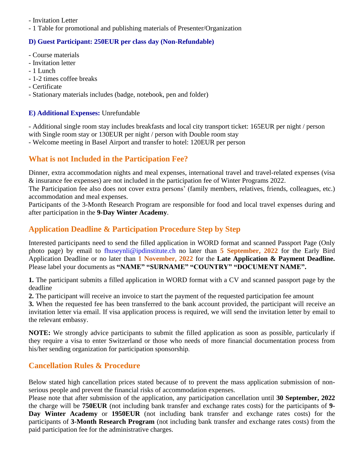- Invitation Letter

- 1 Table for promotional and publishing materials of Presenter/Organization

### **D) Guest Participant: 250EUR per class day (Non-Refundable)**

- Course materials
- Invitation letter
- 1 Lunch
- 1-2 times coffee breaks
- Certificate

- Stationary materials includes (badge, notebook, pen and folder)

### **E) Additional Expenses:** Unrefundable

- Additional single room stay includes breakfasts and local city transport ticket: 165EUR per night / person with Single room stay or 130EUR per night / person with Double room stay

- Welcome meeting in Basel Airport and transfer to hotel: 120EUR per person

# **What is not Included in the Participation Fee?**

Dinner, extra accommodation nights and meal expenses, international travel and travel-related expenses (visa & insurance fee expenses) are not included in the participation fee of Winter Programs 2022.

The Participation fee also does not cover extra persons' (family members, relatives, friends, colleagues, etc.) accommodation and meal expenses.

Participants of the 3-Month Research Program are responsible for food and local travel expenses during and after participation in the **9-Day Winter Academy**.

## **Application Deadline & Participation Procedure Step by Step**

Interested participants need to send the filled application in WORD format and scanned Passport Page (Only photo page) by email to fhuseynli@ipdinstitute.ch no later than **5 September, 2022** for the Early Bird Application Deadline or no later than **1 November, 2022** for the **Late Application & Payment Deadline.** Please label your documents as **"NAME" "SURNAME" "COUNTRY" "DOCUMENT NAME".**

**1.** The participant submits a filled application in WORD format with a CV and scanned passport page by the deadline

**2.** The participant will receive an invoice to start the payment of the requested participation fee amount

**3.** When the requested fee has been transferred to the bank account provided, the participant will receive an invitation letter via email. If visa application process is required, we will send the invitation letter by email to the relevant embassy.

**NOTE:** We strongly advice participants to submit the filled application as soon as possible, particularly if they require a visa to enter Switzerland or those who needs of more financial documentation process from his/her sending organization for participation sponsorship.

### **Cancellation Rules & Procedure**

Below stated high cancellation prices stated because of to prevent the mass application submission of nonserious people and prevent the financial risks of accommodation expenses.

Please note that after submission of the application, any participation cancellation until **30 September, 2022** the charge will be **750EUR** (not including bank transfer and exchange rates costs) for the participants of **9- Day Winter Academy** or **1950EUR** (not including bank transfer and exchange rates costs) for the participants of **3-Month Research Program** (not including bank transfer and exchange rates costs) from the paid participation fee for the administrative charges.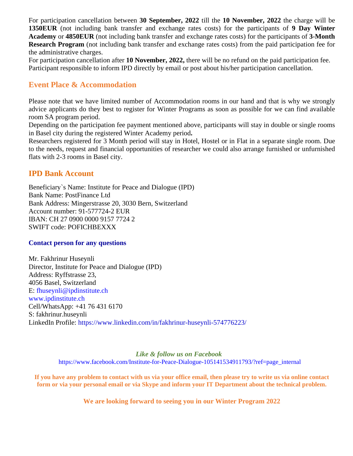For participation cancellation between **30 September, 2022** till the **10 November, 2022** the charge will be **1350EUR** (not including bank transfer and exchange rates costs) for the participants of **9 Day Winter Academy** or **4850EUR** (not including bank transfer and exchange rates costs) for the participants of **3-Month Research Program** (not including bank transfer and exchange rates costs) from the paid participation fee for the administrative charges.

For participation cancellation after **10 November, 2022,** there will be no refund on the paid participation fee. Participant responsible to inform IPD directly by email or post about his/her participation cancellation.

### **Event Place & Accommodation**

Please note that we have limited number of Accommodation rooms in our hand and that is why we strongly advice applicants do they best to register for Winter Programs as soon as possible for we can find available room SA program period.

Depending on the participation fee payment mentioned above, participants will stay in double or single rooms in Basel city during the registered Winter Academy period**.** 

Researchers registered for 3 Month period will stay in Hotel, Hostel or in Flat in a separate single room. Due to the needs, request and financial opportunities of researcher we could also arrange furnished or unfurnished flats with 2-3 rooms in Basel city.

### **IPD Bank Account**

Beneficiary`s Name: Institute for Peace and Dialogue (IPD) Bank Name: PostFinance Ltd Bank Address: Mingerstrasse 20, 3030 Bern, Switzerland Account number: 91-577724-2 EUR IBAN: CH 27 0900 0000 9157 7724 2 SWIFT code: POFICHBEXXX

#### **Contact person for any questions**

Mr. Fakhrinur Huseynli Director, Institute for Peace and Dialogue (IPD) Address: Ryffstrasse 23, 4056 Basel, Switzerland E: [fhuseynli@ipdinstitute.ch](mailto:fhuseynli@ipdinstitute.ch) [www.ipdinstitute.ch](http://www.ipdinstitute.ch/) Cell/WhatsApp: +41 76 431 6170 S: fakhrinur.huseynli LinkedIn Profile: https://www.linkedin.com/in/fakhrinur-huseynli-574776223/

> *Like & follow us on Facebook* [https://www.facebook.com/Institute-for-Peace-Dialogue-105141534911793/?ref=page\\_internal](https://www.facebook.com/Institute-for-Peace-Dialogue-105141534911793/?ref=page_internal)

**If you have any problem to contact with us via your office email, then please try to write us via online contact form or via your personal email or via Skype and inform your IT Department about the technical problem.**

**We are looking forward to seeing you in our Winter Program 2022**